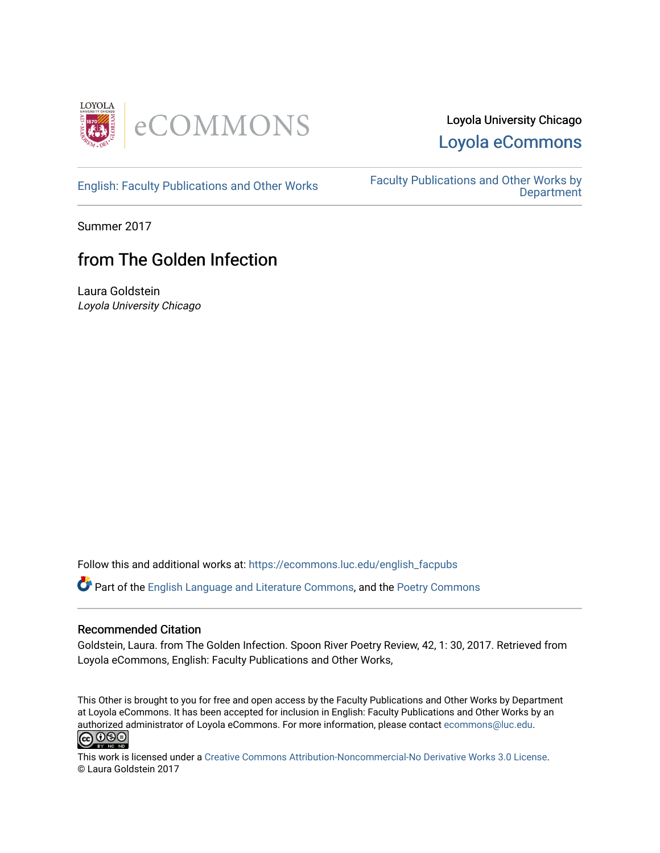

## Loyola University Chicago [Loyola eCommons](https://ecommons.luc.edu/)

[English: Faculty Publications and Other Works](https://ecommons.luc.edu/english_facpubs) Faculty Publications and Other Works by **Department** 

Summer 2017

## from The Golden Infection

Laura Goldstein Loyola University Chicago

Follow this and additional works at: [https://ecommons.luc.edu/english\\_facpubs](https://ecommons.luc.edu/english_facpubs?utm_source=ecommons.luc.edu%2Fenglish_facpubs%2F50&utm_medium=PDF&utm_campaign=PDFCoverPages) 

Part of the [English Language and Literature Commons](http://network.bepress.com/hgg/discipline/455?utm_source=ecommons.luc.edu%2Fenglish_facpubs%2F50&utm_medium=PDF&utm_campaign=PDFCoverPages), and the [Poetry Commons](http://network.bepress.com/hgg/discipline/1153?utm_source=ecommons.luc.edu%2Fenglish_facpubs%2F50&utm_medium=PDF&utm_campaign=PDFCoverPages) 

## Recommended Citation

Goldstein, Laura. from The Golden Infection. Spoon River Poetry Review, 42, 1: 30, 2017. Retrieved from Loyola eCommons, English: Faculty Publications and Other Works,

This Other is brought to you for free and open access by the Faculty Publications and Other Works by Department at Loyola eCommons. It has been accepted for inclusion in English: Faculty Publications and Other Works by an authorized administrator of Loyola eCommons. For more information, please contact [ecommons@luc.edu](mailto:ecommons@luc.edu).<br> **@** 000



This work is licensed under a [Creative Commons Attribution-Noncommercial-No Derivative Works 3.0 License.](https://creativecommons.org/licenses/by-nc-nd/3.0/) © Laura Goldstein 2017